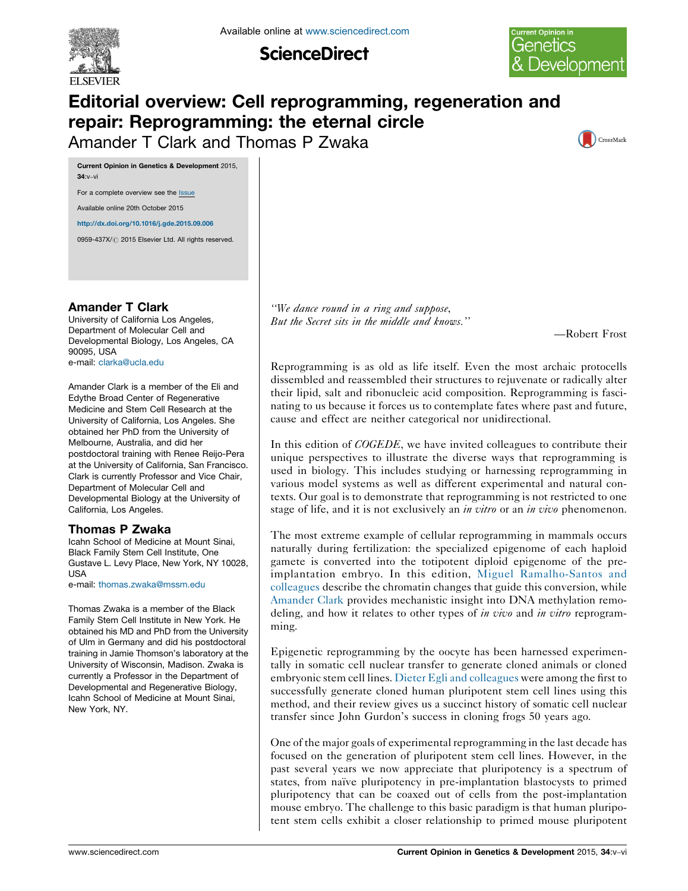

Available online at [www.sciencedirect.com](http://www.sciencedirect.com/science/journal/0959437X)

**ScienceDirect** 



## Editorial overview: Cell reprogramming, regeneration and repair: Reprogramming: the eternal circle Amander T Clark and Thomas P Zwaka



Current Opinion in Genetics & Development 2015,  $34 \cdot v - vi$ 

For a complete overview see the [Issue](http://www.sciencedirect.com/science/journal/0959437X/34)

Available online 20th October 2015

<http://dx.doi.org/10.1016/j.gde.2015.09.006>

0959-437X/ 2015 Elsevier Ltd. All rights reserved.

## Amander T Clark

University of California Los Angeles, Department of Molecular Cell and Developmental Biology, Los Angeles, CA 90095, USA e-mail: [clarka@ucla.edu](mailto:clarka@ucla.edu)

Amander Clark is a member of the Eli and Edythe Broad Center of Regenerative Medicine and Stem Cell Research at the University of California, Los Angeles. She obtained her PhD from the University of Melbourne, Australia, and did her postdoctoral training with Renee Reijo-Pera at the University of California, San Francisco. Clark is currently Professor and Vice Chair, Department of Molecular Cell and Developmental Biology at the University of California, Los Angeles.

## Thomas P Zwaka

Icahn School of Medicine at Mount Sinai, Black Family Stem Cell Institute, One Gustave L. Levy Place, New York, NY 10028, USA e-mail: [thomas.zwaka@mssm.edu](mailto:thomas.zwaka@mssm.edu)

Thomas Zwaka is a member of the Black Family Stem Cell Institute in New York. He obtained his MD and PhD from the University of Ulm in Germany and did his postdoctoral training in Jamie Thomson's laboratory at the University of Wisconsin, Madison. Zwaka is currently a Professor in the Department of Developmental and Regenerative Biology, Icahn School of Medicine at Mount Sinai, New York, NY.

''We dance round in a ring and suppose, But the Secret sits in the middle and knows.''

—Robert Frost

Reprogramming is as old as life itself. Even the most archaic protocells dissembled and reassembled their structures to rejuvenate or radically alter their lipid, salt and ribonucleic acid composition. Reprogramming is fascinating to us because it forces us to contemplate fates where past and future, cause and effect are neither categorical nor unidirectional.

In this edition of *COGEDE*, we have invited colleagues to contribute their unique perspectives to illustrate the diverse ways that reprogramming is used in biology. This includes studying or harnessing reprogramming in various model systems as well as different experimental and natural contexts. Our goal is to demonstrate that reprogramming is not restricted to one stage of life, and it is not exclusively an *in vitro* or an *in vivo* phenomenon.

The most extreme example of cellular reprogramming in mammals occurs naturally during fertilization: the specialized epigenome of each haploid gamete is converted into the totipotent diploid epigenome of the preimplantation embryo. In this edition, Miguel [Ramalho-Santos](http://dx.doi.org/10.1016/j.gde.2015.06.003) and [colleagues](http://dx.doi.org/10.1016/j.gde.2015.06.003) describe the chromatin changes that guide this conversion, while [Amander](http://dx.doi.org/10.1016/j.gde.2015.09.002) Clark provides mechanistic insight into DNA methylation remodeling, and how it relates to other types of in vivo and in vitro reprogramming.

Epigenetic reprogramming by the oocyte has been harnessed experimentally in somatic cell nuclear transfer to generate cloned animals or cloned embryonic stem cell lines. Dieter Egli and [colleagues](http://dx.doi.org/10.1016/j.gde.2015.06.007) were among the first to successfully generate cloned human pluripotent stem cell lines using this method, and their review gives us a succinct history of somatic cell nuclear transfer since John Gurdon's success in cloning frogs 50 years ago.

One of the major goals of experimental reprogramming in the last decade has focused on the generation of pluripotent stem cell lines. However, in the past several years we now appreciate that pluripotency is a spectrum of states, from naïve pluripotency in pre-implantation blastocysts to primed pluripotency that can be coaxed out of cells from the post-implantation mouse embryo. The challenge to this basic paradigm is that human pluripotent stem cells exhibit a closer relationship to primed mouse pluripotent